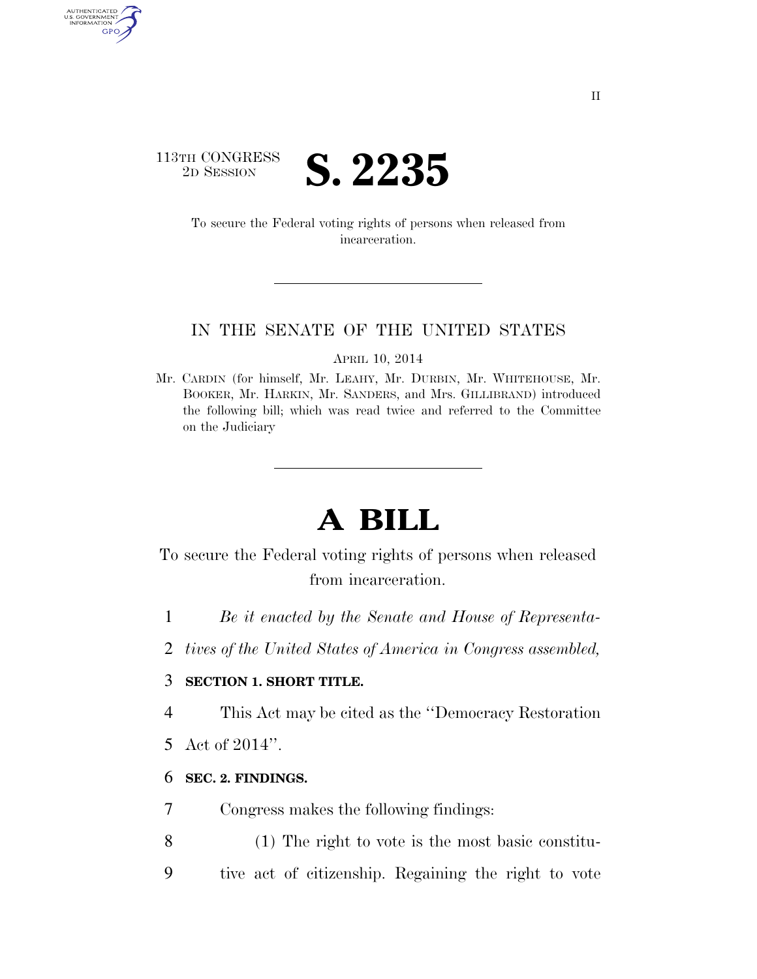

AUTHENTICATED<br>U.S. GOVERNMENT<br>INFORMATION GPO

> To secure the Federal voting rights of persons when released from incarceration.

#### IN THE SENATE OF THE UNITED STATES

APRIL 10, 2014

Mr. CARDIN (for himself, Mr. LEAHY, Mr. DURBIN, Mr. WHITEHOUSE, Mr. BOOKER, Mr. HARKIN, Mr. SANDERS, and Mrs. GILLIBRAND) introduced the following bill; which was read twice and referred to the Committee on the Judiciary

# **A BILL**

To secure the Federal voting rights of persons when released from incarceration.

- 1 *Be it enacted by the Senate and House of Representa-*
- 2 *tives of the United States of America in Congress assembled,*

### 3 **SECTION 1. SHORT TITLE.**

4 This Act may be cited as the ''Democracy Restoration

5 Act of 2014''.

#### 6 **SEC. 2. FINDINGS.**

- 7 Congress makes the following findings:
- 8 (1) The right to vote is the most basic constitu-9 tive act of citizenship. Regaining the right to vote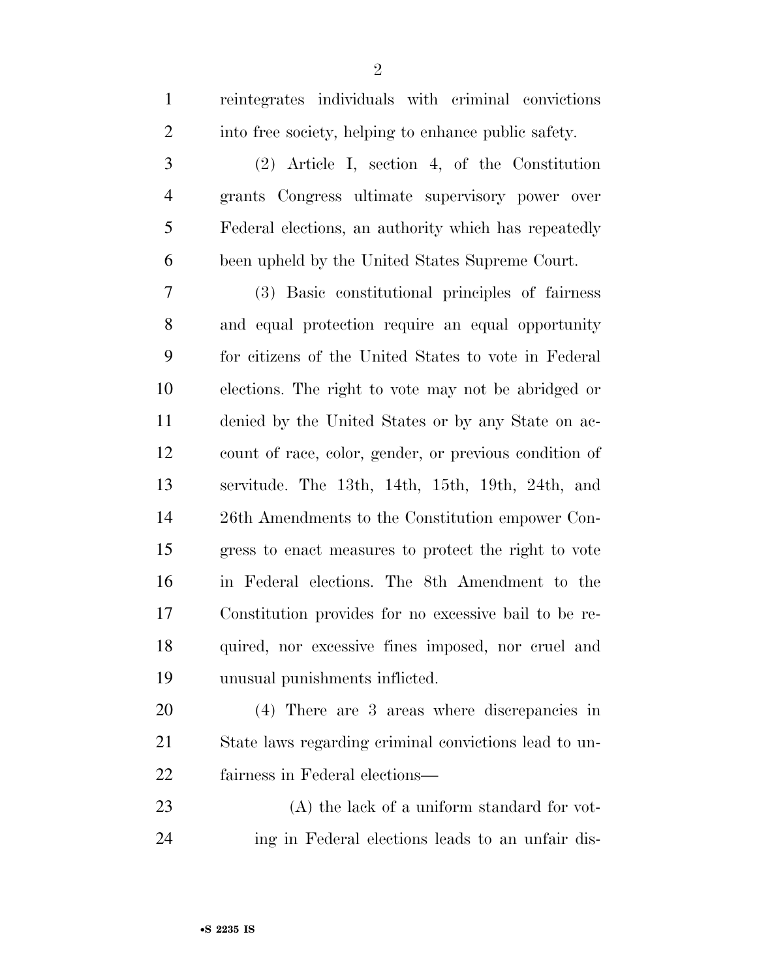reintegrates individuals with criminal convictions

| $\overline{2}$ | into free society, helping to enhance public safety.   |
|----------------|--------------------------------------------------------|
| 3              | $(2)$ Article I, section 4, of the Constitution        |
| $\overline{4}$ | grants Congress ultimate supervisory power over        |
| 5              | Federal elections, an authority which has repeatedly   |
| 6              | been upheld by the United States Supreme Court.        |
| 7              | (3) Basic constitutional principles of fairness        |
| 8              | and equal protection require an equal opportunity      |
| 9              | for citizens of the United States to vote in Federal   |
| 10             | elections. The right to vote may not be abridged or    |
| 11             | denied by the United States or by any State on ac-     |
| 12             | count of race, color, gender, or previous condition of |
| 13             | servitude. The 13th, 14th, 15th, 19th, 24th, and       |
| 14             | 26th Amendments to the Constitution empower Con-       |
| 15             | gress to enact measures to protect the right to vote   |
| 16             | in Federal elections. The 8th Amendment to the         |
| 17             | Constitution provides for no excessive bail to be re-  |
| 18             | quired, nor excessive fines imposed, nor cruel and     |
| 19             | unusual punishments inflicted.                         |
| 20             | (4) There are 3 areas where discrepancies in           |
| 21             | State laws regarding criminal convictions lead to un-  |
| 22             | fairness in Federal elections—                         |
| 23             | $(A)$ the lack of a uniform standard for vot-          |
| 24             | ing in Federal elections leads to an unfair dis-       |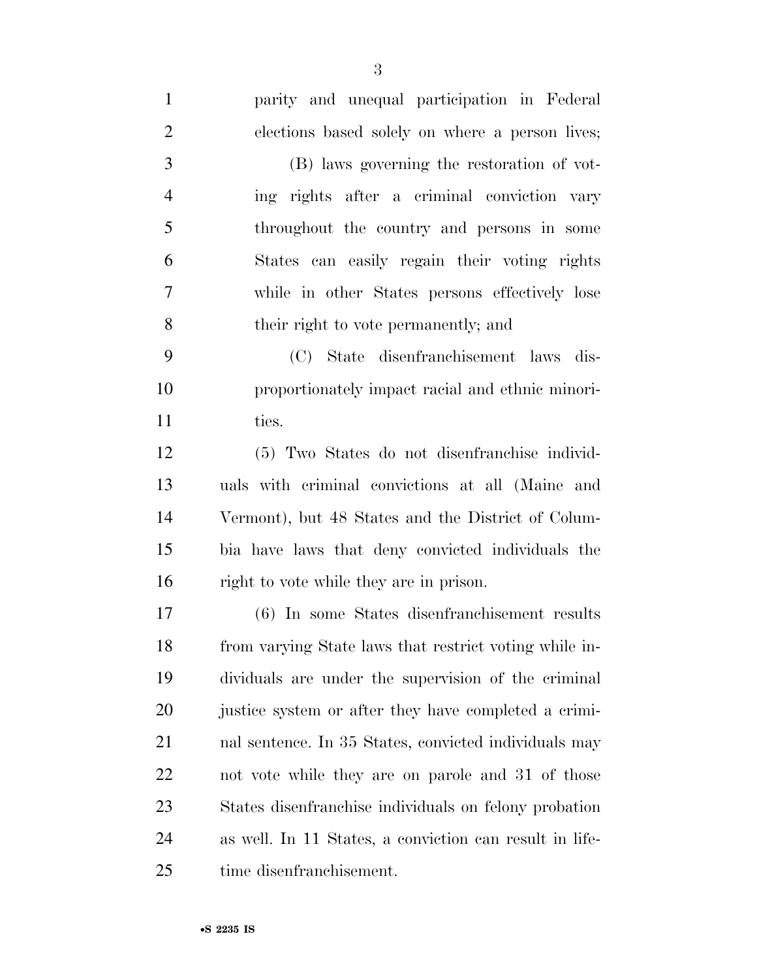| $\mathbf{1}$   | parity and unequal participation in Federal             |
|----------------|---------------------------------------------------------|
| $\overline{2}$ | elections based solely on where a person lives;         |
| 3              | (B) laws governing the restoration of vot-              |
| $\overline{4}$ | ing rights after a criminal conviction vary             |
| 5              | throughout the country and persons in some              |
| 6              | States can easily regain their voting rights            |
| $\tau$         | while in other States persons effectively lose          |
| 8              | their right to vote permanently; and                    |
| 9              | (C) State disenfranchisement laws dis-                  |
| 10             | proportionately impact racial and ethnic minori-        |
| 11             | ties.                                                   |
| 12             | (5) Two States do not disenfranchise individ-           |
| 13             | uals with criminal convictions at all (Maine and        |
| 14             | Vermont), but 48 States and the District of Colum-      |
| 15             | bia have laws that deny convicted individuals the       |
| 16             | right to vote while they are in prison.                 |
| 17             | (6) In some States disenfranchisement results           |
| 18             | from varying State laws that restrict voting while in-  |
| 19             | dividuals are under the supervision of the criminal     |
| 20             | justice system or after they have completed a crimi-    |
| 21             | nal sentence. In 35 States, convicted individuals may   |
| 22             | not vote while they are on parole and 31 of those       |
| 23             | States disenfranchise individuals on felony probation   |
| 24             | as well. In 11 States, a conviction can result in life- |
| 25             | time disenfranchisement.                                |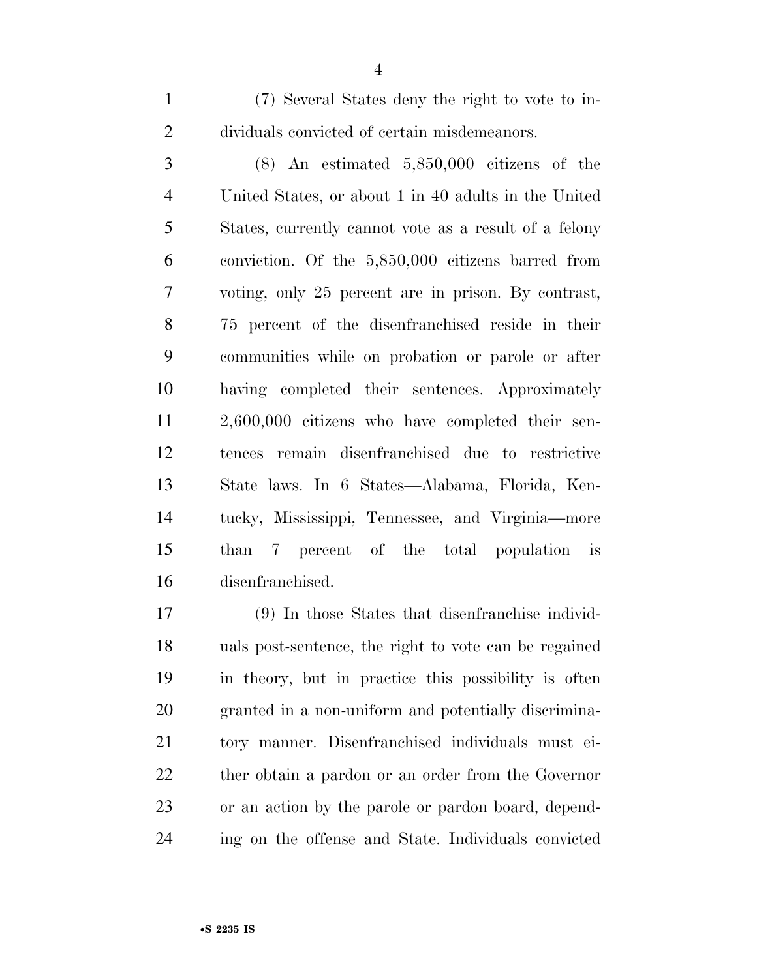(7) Several States deny the right to vote to in-dividuals convicted of certain misdemeanors.

 (8) An estimated 5,850,000 citizens of the United States, or about 1 in 40 adults in the United States, currently cannot vote as a result of a felony conviction. Of the 5,850,000 citizens barred from voting, only 25 percent are in prison. By contrast, 75 percent of the disenfranchised reside in their communities while on probation or parole or after having completed their sentences. Approximately 2,600,000 citizens who have completed their sen- tences remain disenfranchised due to restrictive State laws. In 6 States—Alabama, Florida, Ken- tucky, Mississippi, Tennessee, and Virginia—more than 7 percent of the total population is disenfranchised.

 (9) In those States that disenfranchise individ- uals post-sentence, the right to vote can be regained in theory, but in practice this possibility is often granted in a non-uniform and potentially discrimina- tory manner. Disenfranchised individuals must ei- ther obtain a pardon or an order from the Governor or an action by the parole or pardon board, depend-ing on the offense and State. Individuals convicted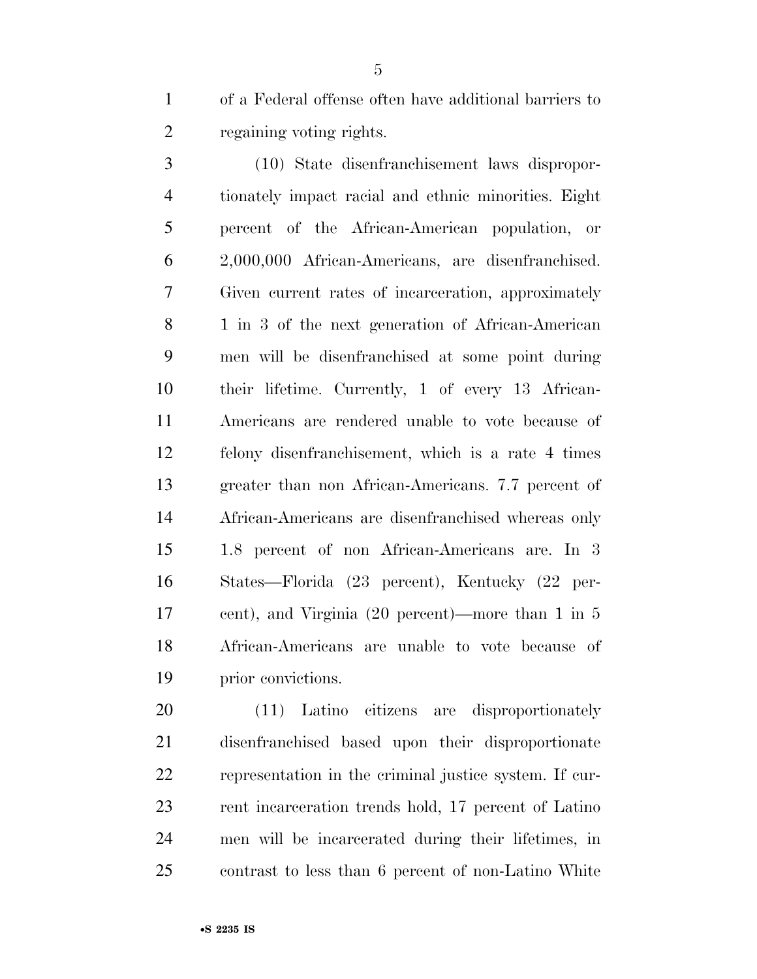of a Federal offense often have additional barriers to regaining voting rights.

 (10) State disenfranchisement laws dispropor- tionately impact racial and ethnic minorities. Eight percent of the African-American population, or 2,000,000 African-Americans, are disenfranchised. Given current rates of incarceration, approximately 8 1 in 3 of the next generation of African-American men will be disenfranchised at some point during their lifetime. Currently, 1 of every 13 African- Americans are rendered unable to vote because of felony disenfranchisement, which is a rate 4 times greater than non African-Americans. 7.7 percent of African-Americans are disenfranchised whereas only 1.8 percent of non African-Americans are. In 3 States—Florida (23 percent), Kentucky (22 per- cent), and Virginia (20 percent)—more than 1 in 5 African-Americans are unable to vote because of prior convictions.

 (11) Latino citizens are disproportionately disenfranchised based upon their disproportionate representation in the criminal justice system. If cur- rent incarceration trends hold, 17 percent of Latino men will be incarcerated during their lifetimes, in contrast to less than 6 percent of non-Latino White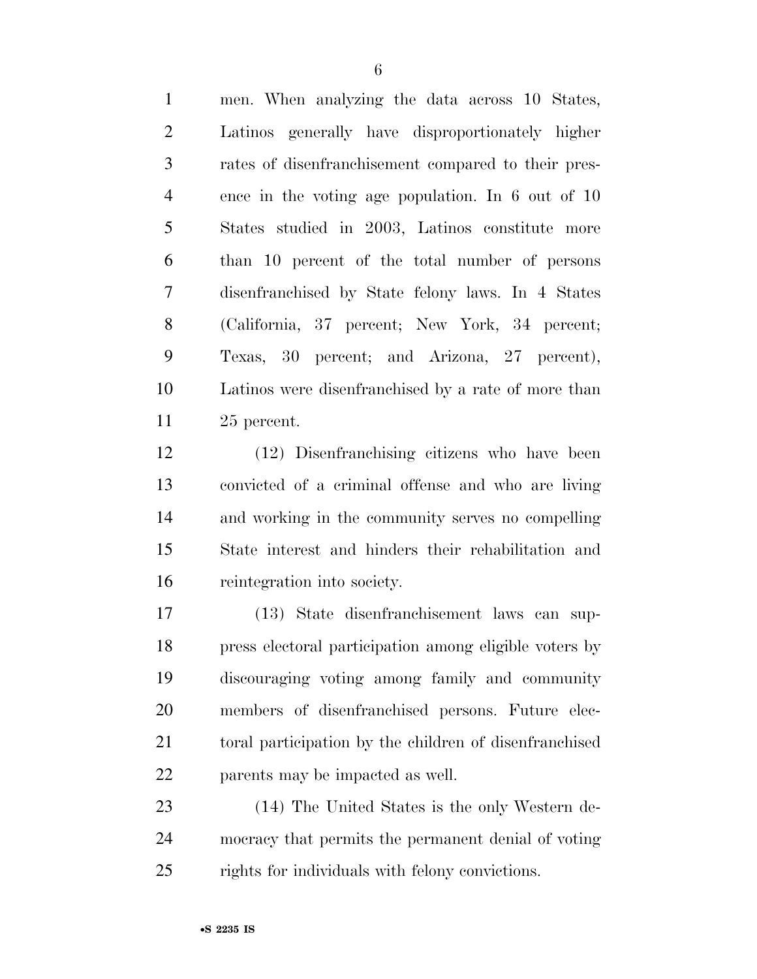men. When analyzing the data across 10 States, Latinos generally have disproportionately higher rates of disenfranchisement compared to their pres- ence in the voting age population. In 6 out of 10 States studied in 2003, Latinos constitute more than 10 percent of the total number of persons disenfranchised by State felony laws. In 4 States (California, 37 percent; New York, 34 percent; Texas, 30 percent; and Arizona, 27 percent), Latinos were disenfranchised by a rate of more than 25 percent.

 (12) Disenfranchising citizens who have been convicted of a criminal offense and who are living and working in the community serves no compelling State interest and hinders their rehabilitation and reintegration into society.

 (13) State disenfranchisement laws can sup- press electoral participation among eligible voters by discouraging voting among family and community members of disenfranchised persons. Future elec- toral participation by the children of disenfranchised parents may be impacted as well.

 (14) The United States is the only Western de- mocracy that permits the permanent denial of voting rights for individuals with felony convictions.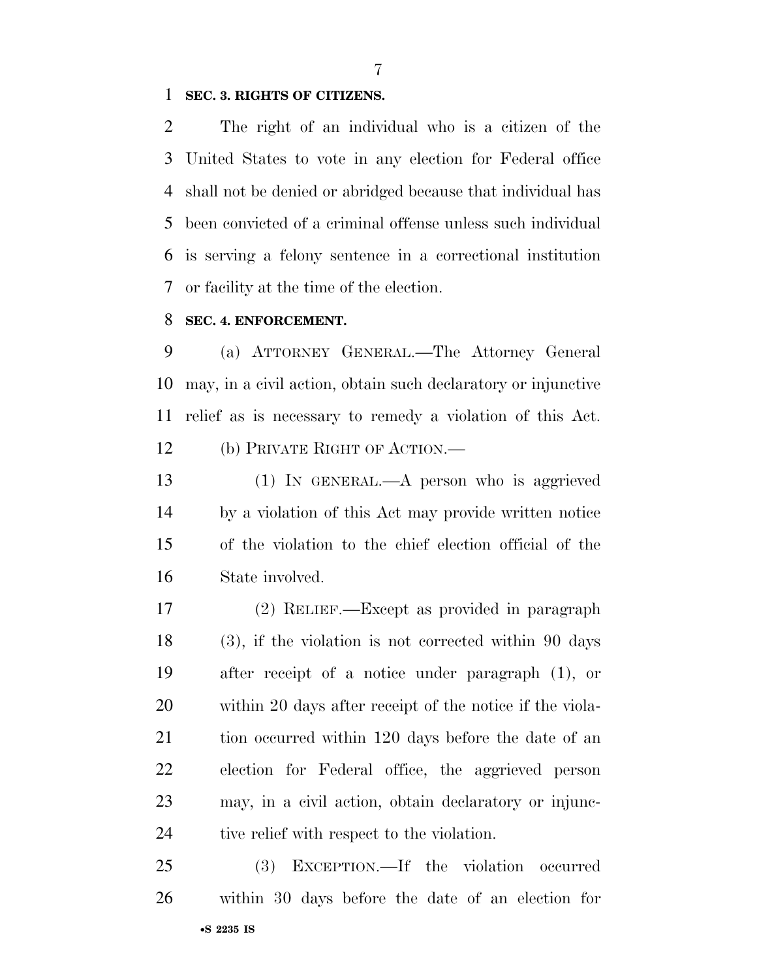#### **SEC. 3. RIGHTS OF CITIZENS.**

 The right of an individual who is a citizen of the United States to vote in any election for Federal office shall not be denied or abridged because that individual has been convicted of a criminal offense unless such individual is serving a felony sentence in a correctional institution or facility at the time of the election.

#### **SEC. 4. ENFORCEMENT.**

 (a) ATTORNEY GENERAL.—The Attorney General may, in a civil action, obtain such declaratory or injunctive relief as is necessary to remedy a violation of this Act. (b) PRIVATE RIGHT OF ACTION.—

 (1) IN GENERAL.—A person who is aggrieved by a violation of this Act may provide written notice of the violation to the chief election official of the State involved.

 (2) RELIEF.—Except as provided in paragraph (3), if the violation is not corrected within 90 days after receipt of a notice under paragraph (1), or within 20 days after receipt of the notice if the viola-21 tion occurred within 120 days before the date of an election for Federal office, the aggrieved person may, in a civil action, obtain declaratory or injunc-24 tive relief with respect to the violation.

•**S 2235 IS** (3) EXCEPTION.—If the violation occurred within 30 days before the date of an election for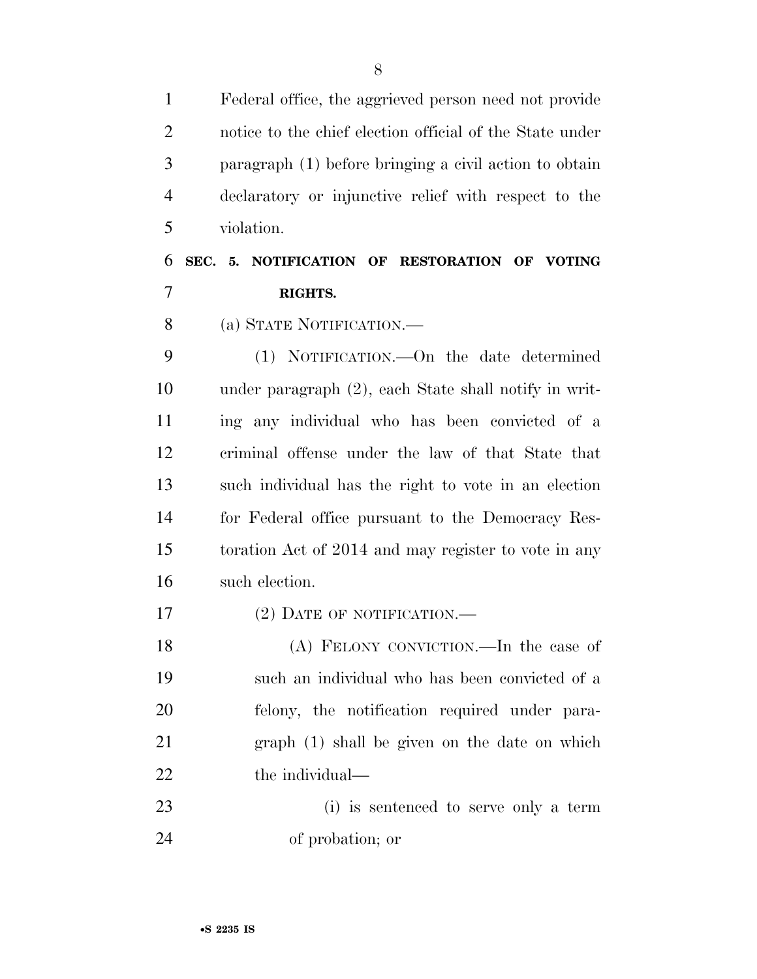Federal office, the aggrieved person need not provide notice to the chief election official of the State under paragraph (1) before bringing a civil action to obtain declaratory or injunctive relief with respect to the violation.

## **SEC. 5. NOTIFICATION OF RESTORATION OF VOTING RIGHTS.**

(a) STATE NOTIFICATION.—

 (1) NOTIFICATION.—On the date determined under paragraph (2), each State shall notify in writ- ing any individual who has been convicted of a criminal offense under the law of that State that such individual has the right to vote in an election for Federal office pursuant to the Democracy Res- toration Act of 2014 and may register to vote in any such election.

17 (2) DATE OF NOTIFICATION.—

 (A) FELONY CONVICTION.—In the case of such an individual who has been convicted of a felony, the notification required under para- graph (1) shall be given on the date on which 22 the individual—

 (i) is sentenced to serve only a term of probation; or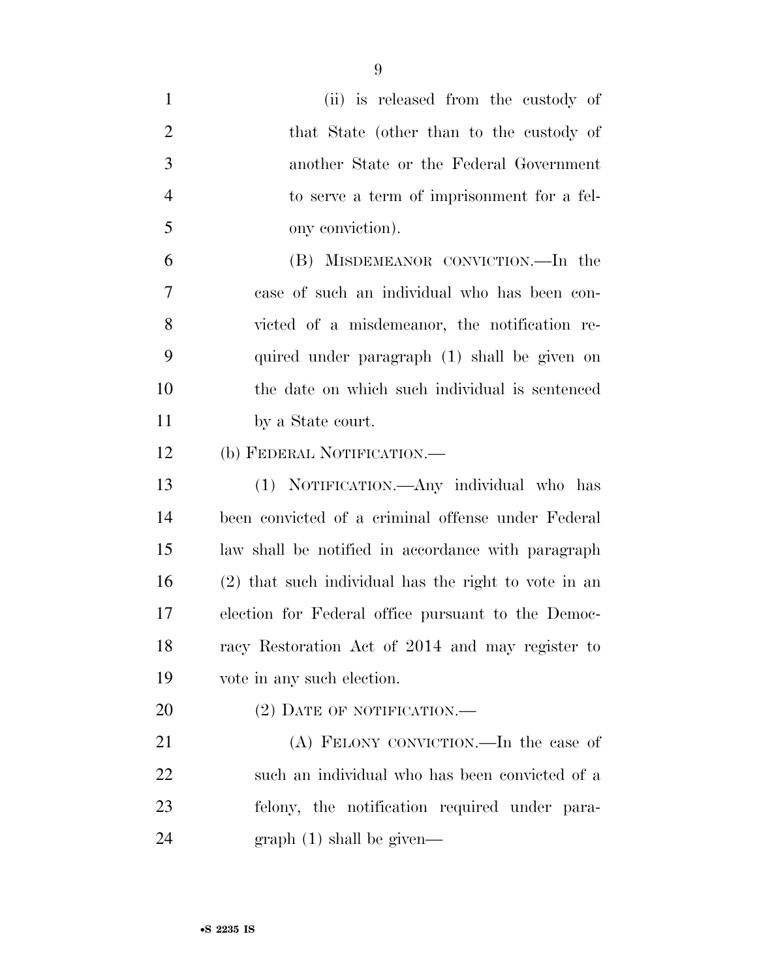| $\mathbf{1}$   | (ii) is released from the custody of                 |
|----------------|------------------------------------------------------|
| $\overline{2}$ | that State (other than to the custody of             |
| 3              | another State or the Federal Government              |
| $\overline{4}$ | to serve a term of imprisonment for a fel-           |
| 5              | ony conviction).                                     |
| 6              | (B) MISDEMEANOR CONVICTION.—In the                   |
| 7              | case of such an individual who has been con-         |
| 8              | victed of a misdemeanor, the notification re-        |
| 9              | quired under paragraph (1) shall be given on         |
| 10             | the date on which such individual is sentenced       |
| 11             | by a State court.                                    |
| 12             | (b) FEDERAL NOTIFICATION.—                           |
| 13             | (1) NOTIFICATION.—Any individual who has             |
| 14             | been convicted of a criminal offense under Federal   |
| 15             | law shall be notified in accordance with paragraph   |
| 16             | (2) that such individual has the right to vote in an |
| 17             | election for Federal office pursuant to the Democ-   |
| 18             | racy Restoration Act of 2014 and may register to     |
| 19             | vote in any such election.                           |
| 20             | (2) DATE OF NOTIFICATION.                            |
| 21             | (A) FELONY CONVICTION.—In the case of                |
| <u>22</u>      | such an individual who has been convicted of a       |
| 23             | felony, the notification required under para-        |
| 24             | graph(1) shall be given—                             |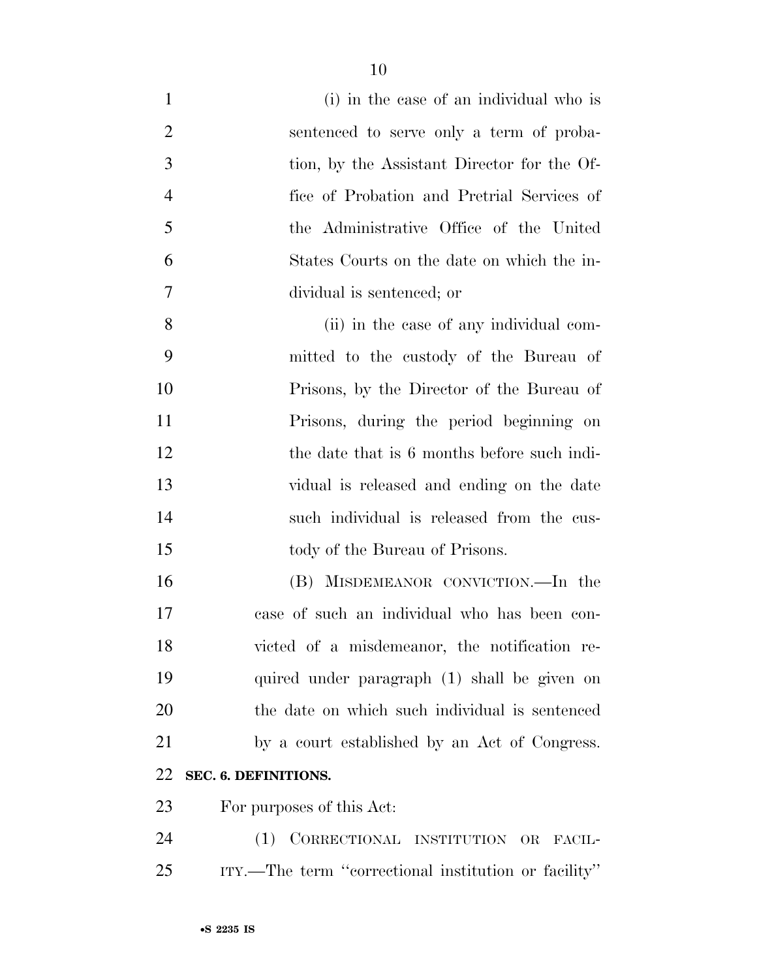| $\mathbf{1}$   | (i) in the case of an individual who is              |
|----------------|------------------------------------------------------|
| $\overline{2}$ | sentenced to serve only a term of proba-             |
| 3              | tion, by the Assistant Director for the Of-          |
| $\overline{4}$ | fice of Probation and Pretrial Services of           |
| 5              | the Administrative Office of the United              |
| 6              | States Courts on the date on which the in-           |
| 7              | dividual is sentenced; or                            |
| 8              | (ii) in the case of any individual com-              |
| 9              | mitted to the custody of the Bureau of               |
| 10             | Prisons, by the Director of the Bureau of            |
| 11             | Prisons, during the period beginning on              |
| 12             | the date that is 6 months before such indi-          |
| 13             | vidual is released and ending on the date            |
| 14             | such individual is released from the cus-            |
| 15             | tody of the Bureau of Prisons.                       |
| 16             | (B) MISDEMEANOR CONVICTION.—In the                   |
| 17             | case of such an individual who has been con-         |
| 18             | victed of a misdemeanor, the notification re-        |
| 19             | quired under paragraph (1) shall be given on         |
| 20             | the date on which such individual is sentenced       |
| 21             | by a court established by an Act of Congress.        |
| 22             | SEC. 6. DEFINITIONS.                                 |
| 23             | For purposes of this Act:                            |
| 24             | (1) CORRECTIONAL INSTITUTION OR FACIL-               |
| 25             | ITY.—The term "correctional institution or facility" |
|                |                                                      |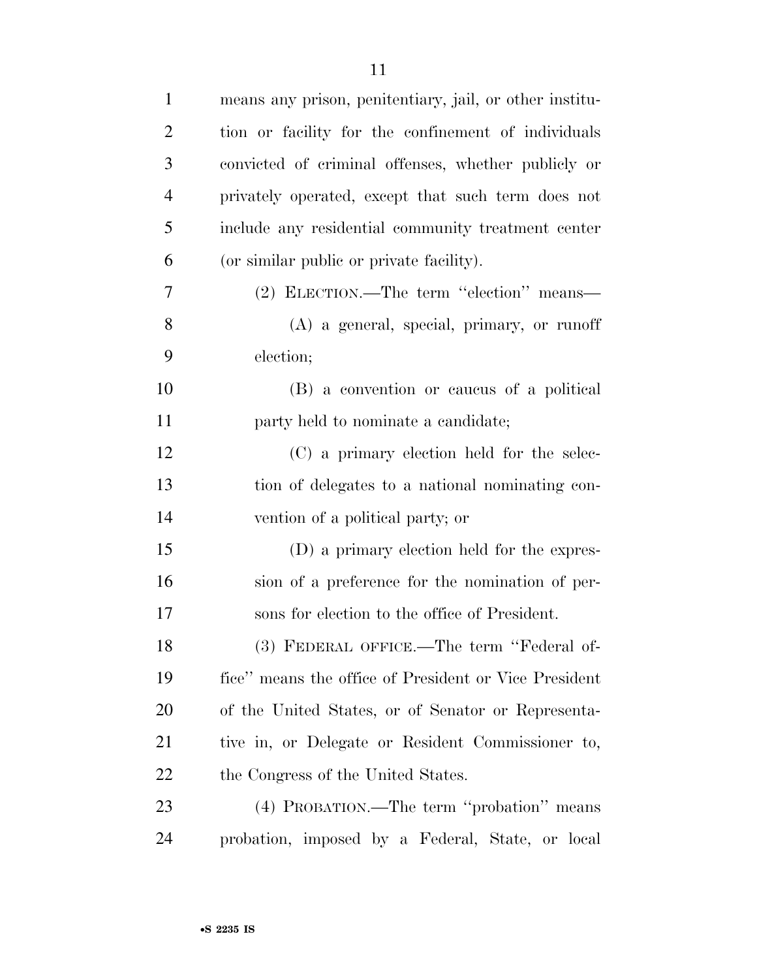| $\mathbf{1}$   | means any prison, penitentiary, jail, or other institu- |
|----------------|---------------------------------------------------------|
| $\overline{2}$ | tion or facility for the confinement of individuals     |
| 3              | convicted of criminal offenses, whether publicly or     |
| $\overline{4}$ | privately operated, except that such term does not      |
| 5              | include any residential community treatment center      |
| 6              | (or similar public or private facility).                |
| 7              | (2) ELECTION.—The term "election" means—                |
| 8              | (A) a general, special, primary, or runoff              |
| 9              | election;                                               |
| 10             | (B) a convention or caucus of a political               |
| 11             | party held to nominate a candidate;                     |
| 12             | (C) a primary election held for the selec-              |
| 13             | tion of delegates to a national nominating con-         |
| 14             | vention of a political party; or                        |
| 15             | (D) a primary election held for the expres-             |
| 16             | sion of a preference for the nomination of per-         |
| 17             | sons for election to the office of President.           |
| 18             | (3) FEDERAL OFFICE.—The term "Federal of-               |
| 19             | fice" means the office of President or Vice President   |
| 20             | of the United States, or of Senator or Representa-      |
| 21             | tive in, or Delegate or Resident Commissioner to,       |
| 22             | the Congress of the United States.                      |
| 23             | (4) PROBATION.—The term "probation" means               |
| 24             | probation, imposed by a Federal, State, or local        |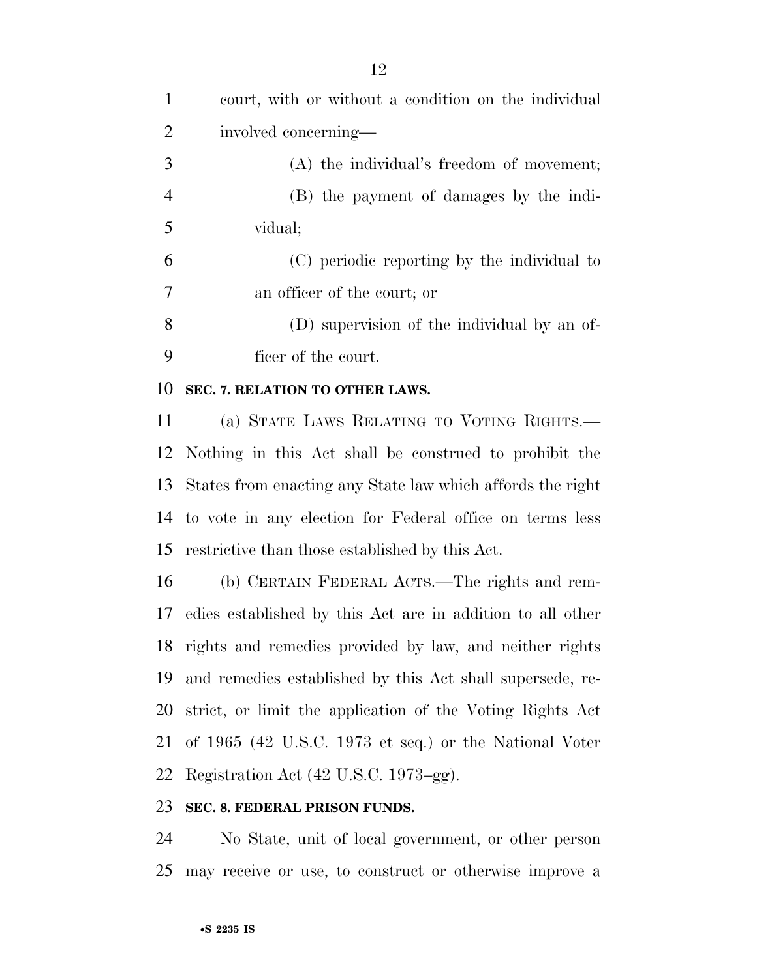court, with or without a condition on the individual involved concerning— (A) the individual's freedom of movement; (B) the payment of damages by the indi- vidual; (C) periodic reporting by the individual to an officer of the court; or (D) supervision of the individual by an of- ficer of the court. **SEC. 7. RELATION TO OTHER LAWS.**  (a) STATE LAWS RELATING TO VOTING RIGHTS.— Nothing in this Act shall be construed to prohibit the States from enacting any State law which affords the right to vote in any election for Federal office on terms less restrictive than those established by this Act. (b) CERTAIN FEDERAL ACTS.—The rights and rem- edies established by this Act are in addition to all other rights and remedies provided by law, and neither rights and remedies established by this Act shall supersede, re- strict, or limit the application of the Voting Rights Act of 1965 (42 U.S.C. 1973 et seq.) or the National Voter Registration Act (42 U.S.C. 1973–gg).

#### **SEC. 8. FEDERAL PRISON FUNDS.**

 No State, unit of local government, or other person may receive or use, to construct or otherwise improve a